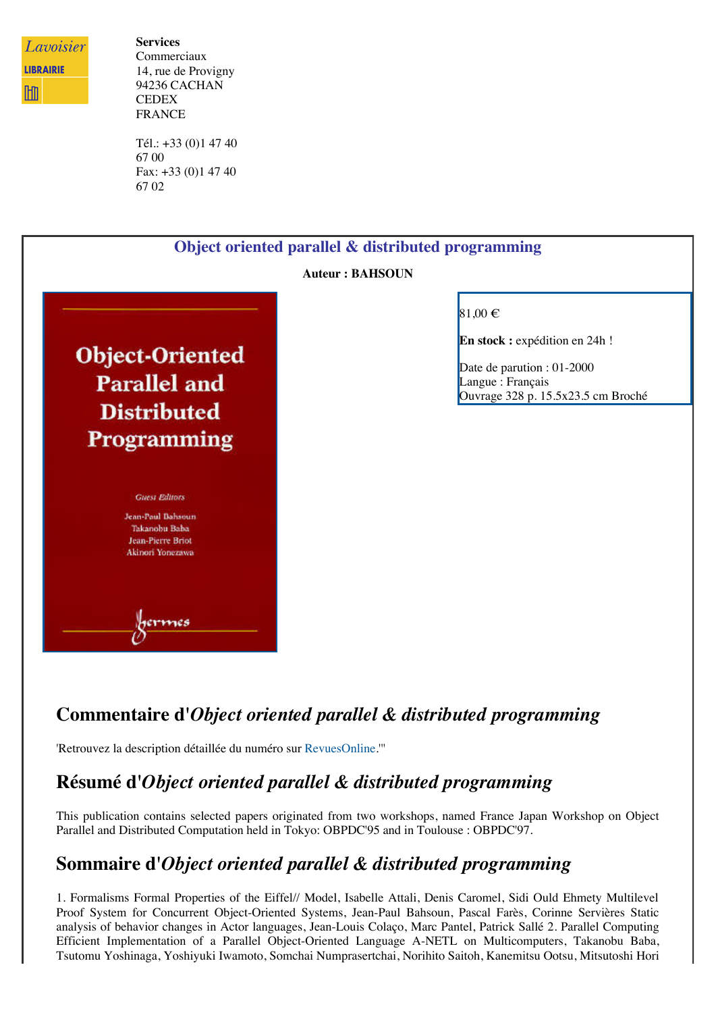

**Services** Commerciaux 14, rue de Provigny 94236 CACHAN **CEDEX** FRANCE

Tél.: +33 (0)1 47 40 67 00 Fax: +33 (0)1 47 40 67 02



## **Commentaire d'***Object oriented parallel & distributed programming*

'Retrouvez la description détaillée du numéro sur [RevuesOnline](http://www.lavoisier.fr/livre/notice.asp?ouvrage=2137248).'''

## **Résumé d'***Object oriented parallel & distributed programming*

This publication contains selected papers originated from two workshops, named France Japan Workshop on Object Parallel and Distributed Computation held in Tokyo: OBPDC'95 and in Toulouse : OBPDC'97.

## **Sommaire d'***Object oriented parallel & distributed programming*

1. Formalisms Formal Properties of the Eiffel// Model, Isabelle Attali, Denis Caromel, Sidi Ould Ehmety Multilevel Proof System for Concurrent Object-Oriented Systems, Jean-Paul Bahsoun, Pascal Farès, Corinne Servières Static analysis of behavior changes in Actor languages, Jean-Louis Colaço, Marc Pantel, Patrick Sallé 2. Parallel Computing Efficient Implementation of a Parallel Object-Oriented Language A-NETL on Multicomputers, Takanobu Baba, Tsutomu Yoshinaga, Yoshiyuki Iwamoto, Somchai Numprasertchai, Norihito Saitoh, Kanemitsu Ootsu, Mitsutoshi Hori